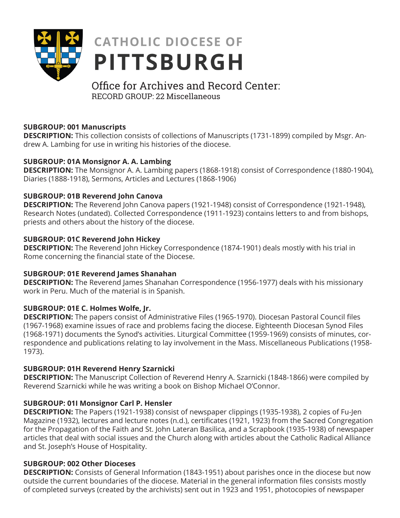

# **CATHOLIC DIOCESE OF PITTSBURGH**

# Office for Archives and Record Center: RECORD GROUP: 22 Miscellaneous

# **SUBGROUP: 001 Manuscripts**

**DESCRIPTION:** This collection consists of collections of Manuscripts (1731-1899) compiled by Msgr. Andrew A. Lambing for use in writing his histories of the diocese.

#### **SUBGROUP: 01A Monsignor A. A. Lambing**

**DESCRIPTION:** The Monsignor A. A. Lambing papers (1868-1918) consist of Correspondence (1880-1904), Diaries (1888-1918), Sermons, Articles and Lectures (1868-1906)

#### **SUBGROUP: 01B Reverend John Canova**

**DESCRIPTION:** The Reverend John Canova papers (1921-1948) consist of Correspondence (1921-1948), Research Notes (undated). Collected Correspondence (1911-1923) contains letters to and from bishops, priests and others about the history of the diocese.

#### **SUBGROUP: 01C Reverend John Hickey**

**DESCRIPTION:** The Reverend John Hickey Correspondence (1874-1901) deals mostly with his trial in Rome concerning the financial state of the Diocese.

#### **SUBGROUP: 01E Reverend James Shanahan**

**DESCRIPTION:** The Reverend James Shanahan Correspondence (1956-1977) deals with his missionary work in Peru. Much of the material is in Spanish.

# **SUBGROUP: 01E C. Holmes Wolfe, Jr.**

**DESCRIPTION:** The papers consist of Administrative Files (1965-1970). Diocesan Pastoral Council files (1967-1968) examine issues of race and problems facing the diocese. Eighteenth Diocesan Synod Files (1968-1971) documents the Synod's activities. Liturgical Committee (1959-1969) consists of minutes, correspondence and publications relating to lay involvement in the Mass. Miscellaneous Publications (1958- 1973).

#### **SUBGROUP: 01H Reverend Henry Szarnicki**

**DESCRIPTION:** The Manuscript Collection of Reverend Henry A. Szarnicki (1848-1866) were compiled by Reverend Szarnicki while he was writing a book on Bishop Michael O'Connor.

# **SUBGROUP: 01I Monsignor Carl P. Hensler**

**DESCRIPTION:** The Papers (1921-1938) consist of newspaper clippings (1935-1938), 2 copies of Fu-Jen Magazine (1932), lectures and lecture notes (n.d.), certificates (1921, 1923) from the Sacred Congregation for the Propagation of the Faith and St. John Lateran Basilica, and a Scrapbook (1935-1938) of newspaper articles that deal with social issues and the Church along with articles about the Catholic Radical Alliance and St. Joseph's House of Hospitality.

#### **SUBGROUP: 002 Other Dioceses**

**DESCRIPTION:** Consists of General Information (1843-1951) about parishes once in the diocese but now outside the current boundaries of the diocese. Material in the general information files consists mostly of completed surveys (created by the archivists) sent out in 1923 and 1951, photocopies of newspaper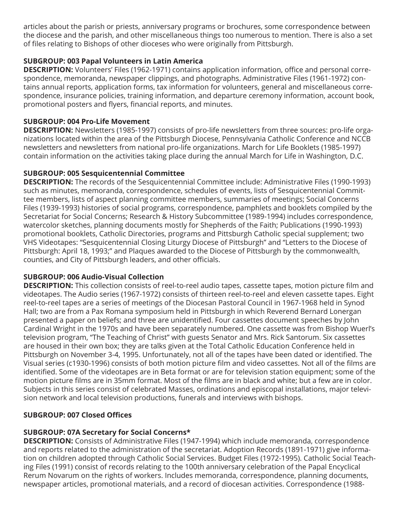articles about the parish or priests, anniversary programs or brochures, some correspondence between the diocese and the parish, and other miscellaneous things too numerous to mention. There is also a set of files relating to Bishops of other dioceses who were originally from Pittsburgh.

#### **SUBGROUP: 003 Papal Volunteers in Latin America**

**DESCRIPTION:** Volunteers' Files (1962-1971) contains application information, office and personal correspondence, memoranda, newspaper clippings, and photographs. Administrative Files (1961-1972) contains annual reports, application forms, tax information for volunteers, general and miscellaneous correspondence, insurance policies, training information, and departure ceremony information, account book, promotional posters and flyers, financial reports, and minutes.

#### **SUBGROUP: 004 Pro-Life Movement**

**DESCRIPTION:** Newsletters (1985-1997) consists of pro-life newsletters from three sources: pro-life organizations located within the area of the Pittsburgh Diocese, Pennsylvania Catholic Conference and NCCB newsletters and newsletters from national pro-life organizations. March for Life Booklets (1985-1997) contain information on the activities taking place during the annual March for Life in Washington, D.C.

#### **SUBGROUP: 005 Sesquicentennial Committee**

**DESCRIPTION:** The records of the Sesquicentennial Committee include: Administrative Files (1990-1993) such as minutes, memoranda, correspondence, schedules of events, lists of Sesquicentennial Committee members, lists of aspect planning committee members, summaries of meetings; Social Concerns Files (1939-1993) histories of social programs, correspondence, pamphlets and booklets compiled by the Secretariat for Social Concerns; Research & History Subcommittee (1989-1994) includes correspondence, watercolor sketches, planning documents mostly for Shepherds of the Faith; Publications (1990-1993) promotional booklets, Catholic Directories, programs and Pittsburgh Catholic special supplement; two VHS Videotapes: "Sesquicentennial Closing Liturgy Diocese of Pittsburgh" and "Letters to the Diocese of Pittsburgh: April 18, 1993;" and Plaques awarded to the Diocese of Pittsburgh by the commonwealth, counties, and City of Pittsburgh leaders, and other officials.

#### **SUBGROUP: 006 Audio-Visual Collection**

**DESCRIPTION:** This collection consists of reel-to-reel audio tapes, cassette tapes, motion picture film and videotapes. The Audio series (1967-1972) consists of thirteen reel-to-reel and eleven cassette tapes. Eight reel-to-reel tapes are a series of meetings of the Diocesan Pastoral Council in 1967-1968 held in Synod Hall; two are from a Pax Romana symposium held in Pittsburgh in which Reverend Bernard Lonergan presented a paper on beliefs; and three are unidentified. Four cassettes document speeches by John Cardinal Wright in the 1970s and have been separately numbered. One cassette was from Bishop Wuerl's television program, "The Teaching of Christ" with guests Senator and Mrs. Rick Santorum. Six cassettes are housed in their own box; they are talks given at the Total Catholic Education Conference held in Pittsburgh on November 3-4, 1995. Unfortunately, not all of the tapes have been dated or identified. The Visual series (c1930-1996) consists of both motion picture film and video cassettes. Not all of the films are identified. Some of the videotapes are in Beta format or are for television station equipment; some of the motion picture films are in 35mm format. Most of the films are in black and white; but a few are in color. Subjects in this series consist of celebrated Masses, ordinations and episcopal installations, major television network and local television productions, funerals and interviews with bishops.

# **SUBGROUP: 007 Closed Offices**

# **SUBGROUP: 07A Secretary for Social Concerns\***

**DESCRIPTION:** Consists of Administrative Files (1947-1994) which include memoranda, correspondence and reports related to the administration of the secretariat. Adoption Records (1891-1971) give information on children adopted through Catholic Social Services. Budget Files (1972-1995). Catholic Social Teaching Files (1991) consist of records relating to the 100th anniversary celebration of the Papal Encyclical Rerum Novarum on the rights of workers. Includes memoranda, correspondence, planning documents, newspaper articles, promotional materials, and a record of diocesan activities. Correspondence (1988-